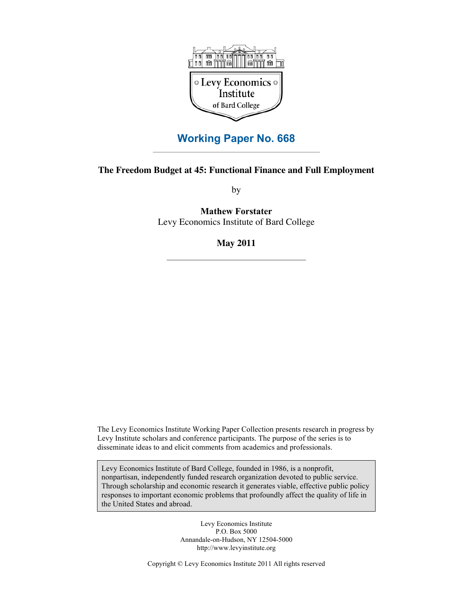

# **Working Paper No. 668**

# **The Freedom Budget at 45: Functional Finance and Full Employment**

by

**Mathew Forstater** Levy Economics Institute of Bard College

**May 2011**

The Levy Economics Institute Working Paper Collection presents research in progress by Levy Institute scholars and conference participants. The purpose of the series is to disseminate ideas to and elicit comments from academics and professionals.

Levy Economics Institute of Bard College, founded in 1986, is a nonprofit, nonpartisan, independently funded research organization devoted to public service. Through scholarship and economic research it generates viable, effective public policy responses to important economic problems that profoundly affect the quality of life in the United States and abroad.

> Levy Economics Institute P.O. Box 5000 Annandale-on-Hudson, NY 12504-5000 http://www.levyinstitute.org

Copyright © Levy Economics Institute 2011 All rights reserved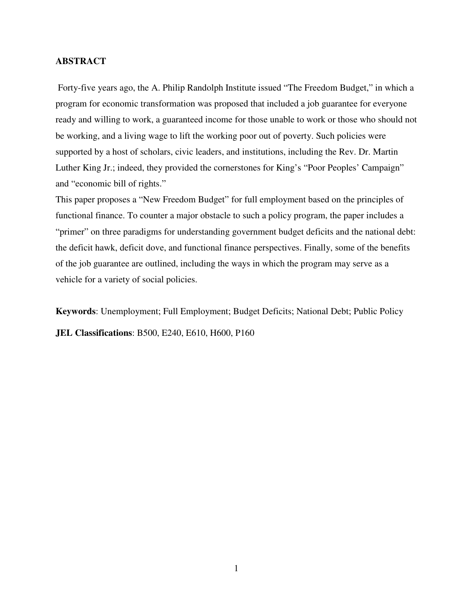## **ABSTRACT**

 Forty-five years ago, the A. Philip Randolph Institute issued "The Freedom Budget," in which a program for economic transformation was proposed that included a job guarantee for everyone ready and willing to work, a guaranteed income for those unable to work or those who should not be working, and a living wage to lift the working poor out of poverty. Such policies were supported by a host of scholars, civic leaders, and institutions, including the Rev. Dr. Martin Luther King Jr.; indeed, they provided the cornerstones for King's "Poor Peoples' Campaign" and "economic bill of rights."

This paper proposes a "New Freedom Budget" for full employment based on the principles of functional finance. To counter a major obstacle to such a policy program, the paper includes a "primer" on three paradigms for understanding government budget deficits and the national debt: the deficit hawk, deficit dove, and functional finance perspectives. Finally, some of the benefits of the job guarantee are outlined, including the ways in which the program may serve as a vehicle for a variety of social policies.

**Keywords**: Unemployment; Full Employment; Budget Deficits; National Debt; Public Policy **JEL Classifications**: B500, E240, E610, H600, P160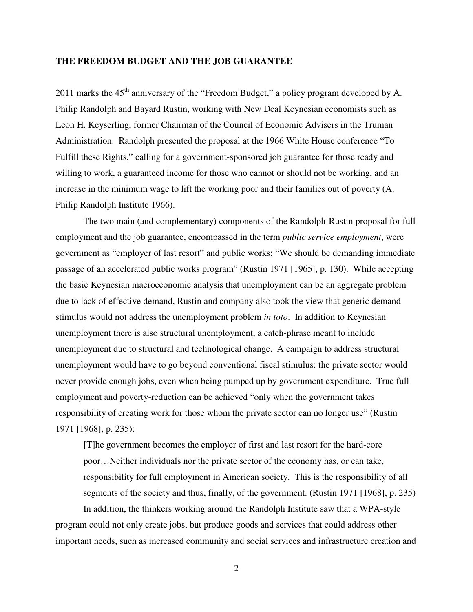#### **THE FREEDOM BUDGET AND THE JOB GUARANTEE**

2011 marks the  $45<sup>th</sup>$  anniversary of the "Freedom Budget," a policy program developed by A. Philip Randolph and Bayard Rustin, working with New Deal Keynesian economists such as Leon H. Keyserling, former Chairman of the Council of Economic Advisers in the Truman Administration. Randolph presented the proposal at the 1966 White House conference "To Fulfill these Rights," calling for a government-sponsored job guarantee for those ready and willing to work, a guaranteed income for those who cannot or should not be working, and an increase in the minimum wage to lift the working poor and their families out of poverty (A. Philip Randolph Institute 1966).

 The two main (and complementary) components of the Randolph-Rustin proposal for full employment and the job guarantee, encompassed in the term *public service employment*, were government as "employer of last resort" and public works: "We should be demanding immediate passage of an accelerated public works program" (Rustin 1971 [1965], p. 130). While accepting the basic Keynesian macroeconomic analysis that unemployment can be an aggregate problem due to lack of effective demand, Rustin and company also took the view that generic demand stimulus would not address the unemployment problem *in toto*. In addition to Keynesian unemployment there is also structural unemployment, a catch-phrase meant to include unemployment due to structural and technological change. A campaign to address structural unemployment would have to go beyond conventional fiscal stimulus: the private sector would never provide enough jobs, even when being pumped up by government expenditure. True full employment and poverty-reduction can be achieved "only when the government takes responsibility of creating work for those whom the private sector can no longer use" (Rustin 1971 [1968], p. 235):

[T]he government becomes the employer of first and last resort for the hard-core poor…Neither individuals nor the private sector of the economy has, or can take, responsibility for full employment in American society. This is the responsibility of all segments of the society and thus, finally, of the government. (Rustin 1971 [1968], p. 235)

In addition, the thinkers working around the Randolph Institute saw that a WPA-style program could not only create jobs, but produce goods and services that could address other important needs, such as increased community and social services and infrastructure creation and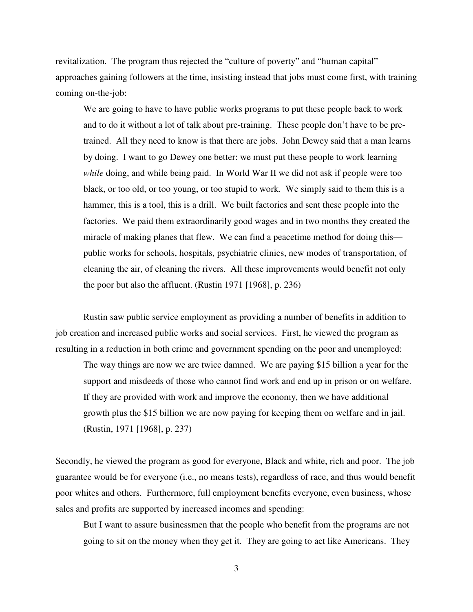revitalization. The program thus rejected the "culture of poverty" and "human capital" approaches gaining followers at the time, insisting instead that jobs must come first, with training coming on-the-job:

We are going to have to have public works programs to put these people back to work and to do it without a lot of talk about pre-training. These people don't have to be pretrained. All they need to know is that there are jobs. John Dewey said that a man learns by doing. I want to go Dewey one better: we must put these people to work learning *while* doing, and while being paid. In World War II we did not ask if people were too black, or too old, or too young, or too stupid to work. We simply said to them this is a hammer, this is a tool, this is a drill. We built factories and sent these people into the factories. We paid them extraordinarily good wages and in two months they created the miracle of making planes that flew. We can find a peacetime method for doing this public works for schools, hospitals, psychiatric clinics, new modes of transportation, of cleaning the air, of cleaning the rivers. All these improvements would benefit not only the poor but also the affluent. (Rustin 1971 [1968], p. 236)

 Rustin saw public service employment as providing a number of benefits in addition to job creation and increased public works and social services. First, he viewed the program as resulting in a reduction in both crime and government spending on the poor and unemployed:

The way things are now we are twice damned. We are paying \$15 billion a year for the support and misdeeds of those who cannot find work and end up in prison or on welfare. If they are provided with work and improve the economy, then we have additional growth plus the \$15 billion we are now paying for keeping them on welfare and in jail. (Rustin, 1971 [1968], p. 237)

Secondly, he viewed the program as good for everyone, Black and white, rich and poor. The job guarantee would be for everyone (i.e., no means tests), regardless of race, and thus would benefit poor whites and others. Furthermore, full employment benefits everyone, even business, whose sales and profits are supported by increased incomes and spending:

But I want to assure businessmen that the people who benefit from the programs are not going to sit on the money when they get it. They are going to act like Americans. They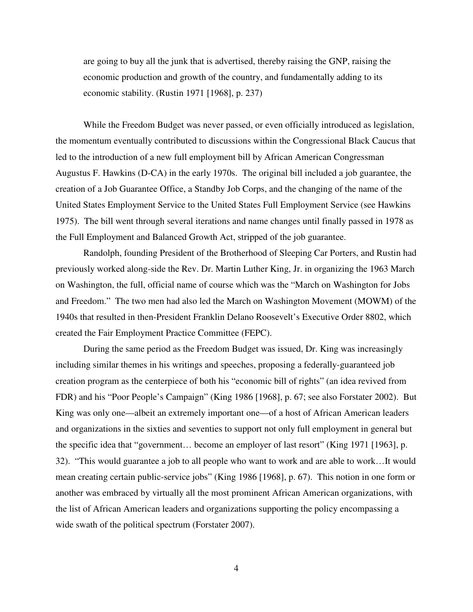are going to buy all the junk that is advertised, thereby raising the GNP, raising the economic production and growth of the country, and fundamentally adding to its economic stability. (Rustin 1971 [1968], p. 237)

While the Freedom Budget was never passed, or even officially introduced as legislation, the momentum eventually contributed to discussions within the Congressional Black Caucus that led to the introduction of a new full employment bill by African American Congressman Augustus F. Hawkins (D-CA) in the early 1970s. The original bill included a job guarantee, the creation of a Job Guarantee Office, a Standby Job Corps, and the changing of the name of the United States Employment Service to the United States Full Employment Service (see Hawkins 1975). The bill went through several iterations and name changes until finally passed in 1978 as the Full Employment and Balanced Growth Act, stripped of the job guarantee.

Randolph, founding President of the Brotherhood of Sleeping Car Porters, and Rustin had previously worked along-side the Rev. Dr. Martin Luther King, Jr. in organizing the 1963 March on Washington, the full, official name of course which was the "March on Washington for Jobs and Freedom." The two men had also led the March on Washington Movement (MOWM) of the 1940s that resulted in then-President Franklin Delano Roosevelt's Executive Order 8802, which created the Fair Employment Practice Committee (FEPC).

During the same period as the Freedom Budget was issued, Dr. King was increasingly including similar themes in his writings and speeches, proposing a federally-guaranteed job creation program as the centerpiece of both his "economic bill of rights" (an idea revived from FDR) and his "Poor People's Campaign" (King 1986 [1968], p. 67; see also Forstater 2002). But King was only one—albeit an extremely important one—of a host of African American leaders and organizations in the sixties and seventies to support not only full employment in general but the specific idea that "government… become an employer of last resort" (King 1971 [1963], p. 32). "This would guarantee a job to all people who want to work and are able to work…It would mean creating certain public-service jobs" (King 1986 [1968], p. 67). This notion in one form or another was embraced by virtually all the most prominent African American organizations, with the list of African American leaders and organizations supporting the policy encompassing a wide swath of the political spectrum (Forstater 2007).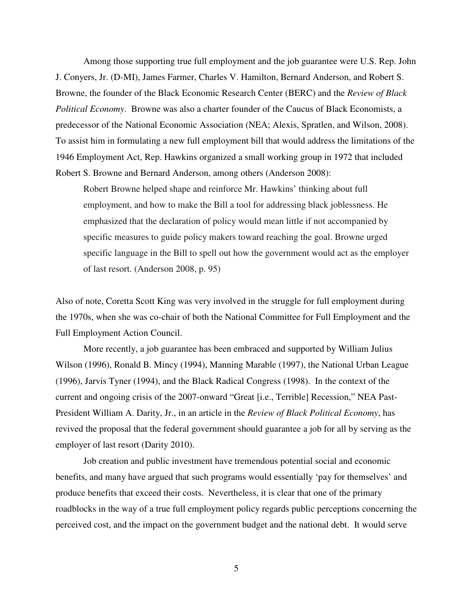Among those supporting true full employment and the job guarantee were U.S. Rep. John J. Conyers, Jr. (D-MI), James Farmer, Charles V. Hamilton, Bernard Anderson, and Robert S. Browne, the founder of the Black Economic Research Center (BERC) and the *Review of Black Political Economy*. Browne was also a charter founder of the Caucus of Black Economists, a predecessor of the National Economic Association (NEA; Alexis, Spratlen, and Wilson, 2008). To assist him in formulating a new full employment bill that would address the limitations of the 1946 Employment Act, Rep. Hawkins organized a small working group in 1972 that included Robert S. Browne and Bernard Anderson, among others (Anderson 2008):

Robert Browne helped shape and reinforce Mr. Hawkins' thinking about full employment, and how to make the Bill a tool for addressing black joblessness. He emphasized that the declaration of policy would mean little if not accompanied by specific measures to guide policy makers toward reaching the goal. Browne urged specific language in the Bill to spell out how the government would act as the employer of last resort. (Anderson 2008, p. 95)

Also of note, Coretta Scott King was very involved in the struggle for full employment during the 1970s, when she was co-chair of both the National Committee for Full Employment and the Full Employment Action Council.

 More recently, a job guarantee has been embraced and supported by William Julius Wilson (1996), Ronald B. Mincy (1994), Manning Marable (1997), the National Urban League (1996), Jarvis Tyner (1994), and the Black Radical Congress (1998). In the context of the current and ongoing crisis of the 2007-onward "Great [i.e., Terrible] Recession," NEA Past-President William A. Darity, Jr., in an article in the *Review of Black Political Economy*, has revived the proposal that the federal government should guarantee a job for all by serving as the employer of last resort (Darity 2010).

 Job creation and public investment have tremendous potential social and economic benefits, and many have argued that such programs would essentially 'pay for themselves' and produce benefits that exceed their costs. Nevertheless, it is clear that one of the primary roadblocks in the way of a true full employment policy regards public perceptions concerning the perceived cost, and the impact on the government budget and the national debt. It would serve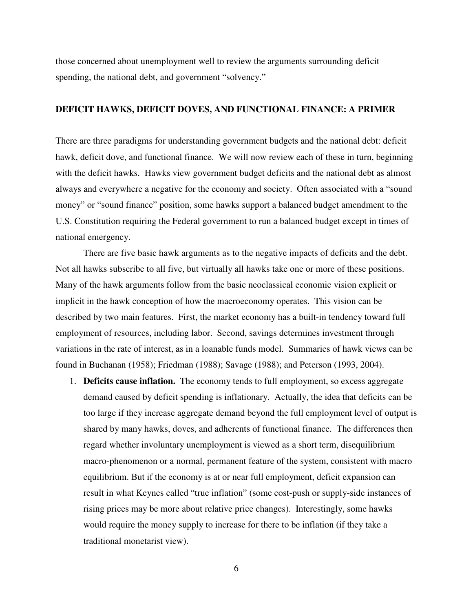those concerned about unemployment well to review the arguments surrounding deficit spending, the national debt, and government "solvency."

#### **DEFICIT HAWKS, DEFICIT DOVES, AND FUNCTIONAL FINANCE: A PRIMER**

There are three paradigms for understanding government budgets and the national debt: deficit hawk, deficit dove, and functional finance. We will now review each of these in turn, beginning with the deficit hawks. Hawks view government budget deficits and the national debt as almost always and everywhere a negative for the economy and society. Often associated with a "sound money" or "sound finance" position, some hawks support a balanced budget amendment to the U.S. Constitution requiring the Federal government to run a balanced budget except in times of national emergency.

There are five basic hawk arguments as to the negative impacts of deficits and the debt. Not all hawks subscribe to all five, but virtually all hawks take one or more of these positions. Many of the hawk arguments follow from the basic neoclassical economic vision explicit or implicit in the hawk conception of how the macroeconomy operates. This vision can be described by two main features. First, the market economy has a built-in tendency toward full employment of resources, including labor. Second, savings determines investment through variations in the rate of interest, as in a loanable funds model. Summaries of hawk views can be found in Buchanan (1958); Friedman (1988); Savage (1988); and Peterson (1993, 2004).

1. **Deficits cause inflation.** The economy tends to full employment, so excess aggregate demand caused by deficit spending is inflationary. Actually, the idea that deficits can be too large if they increase aggregate demand beyond the full employment level of output is shared by many hawks, doves, and adherents of functional finance. The differences then regard whether involuntary unemployment is viewed as a short term, disequilibrium macro-phenomenon or a normal, permanent feature of the system, consistent with macro equilibrium. But if the economy is at or near full employment, deficit expansion can result in what Keynes called "true inflation" (some cost-push or supply-side instances of rising prices may be more about relative price changes). Interestingly, some hawks would require the money supply to increase for there to be inflation (if they take a traditional monetarist view).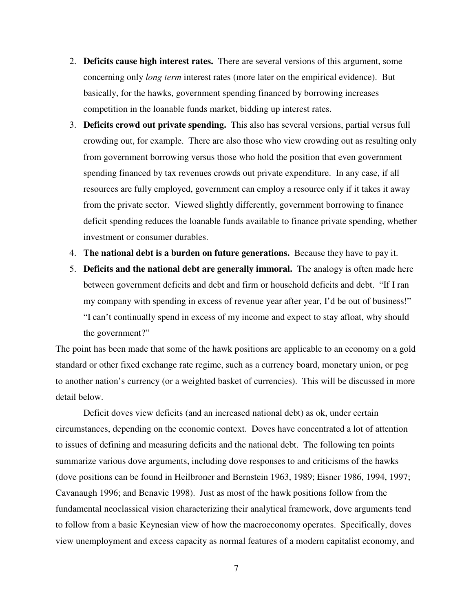- 2. **Deficits cause high interest rates.** There are several versions of this argument, some concerning only *long term* interest rates (more later on the empirical evidence). But basically, for the hawks, government spending financed by borrowing increases competition in the loanable funds market, bidding up interest rates.
- 3. **Deficits crowd out private spending.** This also has several versions, partial versus full crowding out, for example. There are also those who view crowding out as resulting only from government borrowing versus those who hold the position that even government spending financed by tax revenues crowds out private expenditure. In any case, if all resources are fully employed, government can employ a resource only if it takes it away from the private sector. Viewed slightly differently, government borrowing to finance deficit spending reduces the loanable funds available to finance private spending, whether investment or consumer durables.
- 4. **The national debt is a burden on future generations.** Because they have to pay it.
- 5. **Deficits and the national debt are generally immoral.** The analogy is often made here between government deficits and debt and firm or household deficits and debt. "If I ran my company with spending in excess of revenue year after year, I'd be out of business!" "I can't continually spend in excess of my income and expect to stay afloat, why should the government?"

The point has been made that some of the hawk positions are applicable to an economy on a gold standard or other fixed exchange rate regime, such as a currency board, monetary union, or peg to another nation's currency (or a weighted basket of currencies). This will be discussed in more detail below.

 Deficit doves view deficits (and an increased national debt) as ok, under certain circumstances, depending on the economic context. Doves have concentrated a lot of attention to issues of defining and measuring deficits and the national debt. The following ten points summarize various dove arguments, including dove responses to and criticisms of the hawks (dove positions can be found in Heilbroner and Bernstein 1963, 1989; Eisner 1986, 1994, 1997; Cavanaugh 1996; and Benavie 1998). Just as most of the hawk positions follow from the fundamental neoclassical vision characterizing their analytical framework, dove arguments tend to follow from a basic Keynesian view of how the macroeconomy operates. Specifically, doves view unemployment and excess capacity as normal features of a modern capitalist economy, and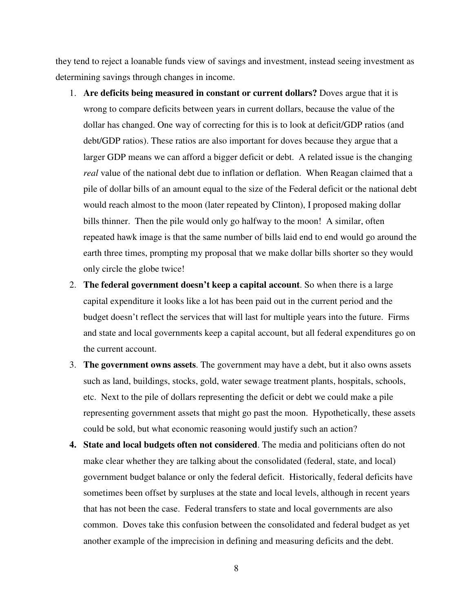they tend to reject a loanable funds view of savings and investment, instead seeing investment as determining savings through changes in income.

- 1. **Are deficits being measured in constant or current dollars?** Doves argue that it is wrong to compare deficits between years in current dollars, because the value of the dollar has changed. One way of correcting for this is to look at deficit/GDP ratios (and debt/GDP ratios). These ratios are also important for doves because they argue that a larger GDP means we can afford a bigger deficit or debt. A related issue is the changing *real* value of the national debt due to inflation or deflation. When Reagan claimed that a pile of dollar bills of an amount equal to the size of the Federal deficit or the national debt would reach almost to the moon (later repeated by Clinton), I proposed making dollar bills thinner. Then the pile would only go halfway to the moon! A similar, often repeated hawk image is that the same number of bills laid end to end would go around the earth three times, prompting my proposal that we make dollar bills shorter so they would only circle the globe twice!
- 2. **The federal government doesn't keep a capital account**. So when there is a large capital expenditure it looks like a lot has been paid out in the current period and the budget doesn't reflect the services that will last for multiple years into the future. Firms and state and local governments keep a capital account, but all federal expenditures go on the current account.
- 3. **The government owns assets**. The government may have a debt, but it also owns assets such as land, buildings, stocks, gold, water sewage treatment plants, hospitals, schools, etc. Next to the pile of dollars representing the deficit or debt we could make a pile representing government assets that might go past the moon. Hypothetically, these assets could be sold, but what economic reasoning would justify such an action?
- **4. State and local budgets often not considered**. The media and politicians often do not make clear whether they are talking about the consolidated (federal, state, and local) government budget balance or only the federal deficit. Historically, federal deficits have sometimes been offset by surpluses at the state and local levels, although in recent years that has not been the case. Federal transfers to state and local governments are also common. Doves take this confusion between the consolidated and federal budget as yet another example of the imprecision in defining and measuring deficits and the debt.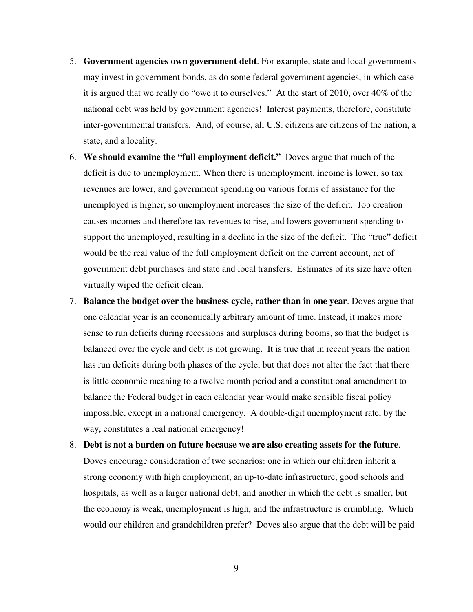- 5. **Government agencies own government debt**. For example, state and local governments may invest in government bonds, as do some federal government agencies, in which case it is argued that we really do "owe it to ourselves." At the start of 2010, over 40% of the national debt was held by government agencies! Interest payments, therefore, constitute inter-governmental transfers. And, of course, all U.S. citizens are citizens of the nation, a state, and a locality.
- 6. **We should examine the "full employment deficit."** Doves argue that much of the deficit is due to unemployment. When there is unemployment, income is lower, so tax revenues are lower, and government spending on various forms of assistance for the unemployed is higher, so unemployment increases the size of the deficit. Job creation causes incomes and therefore tax revenues to rise, and lowers government spending to support the unemployed, resulting in a decline in the size of the deficit. The "true" deficit would be the real value of the full employment deficit on the current account, net of government debt purchases and state and local transfers. Estimates of its size have often virtually wiped the deficit clean.
- 7. **Balance the budget over the business cycle, rather than in one year**. Doves argue that one calendar year is an economically arbitrary amount of time. Instead, it makes more sense to run deficits during recessions and surpluses during booms, so that the budget is balanced over the cycle and debt is not growing. It is true that in recent years the nation has run deficits during both phases of the cycle, but that does not alter the fact that there is little economic meaning to a twelve month period and a constitutional amendment to balance the Federal budget in each calendar year would make sensible fiscal policy impossible, except in a national emergency. A double-digit unemployment rate, by the way, constitutes a real national emergency!
- 8. **Debt is not a burden on future because we are also creating assets for the future**. Doves encourage consideration of two scenarios: one in which our children inherit a strong economy with high employment, an up-to-date infrastructure, good schools and hospitals, as well as a larger national debt; and another in which the debt is smaller, but the economy is weak, unemployment is high, and the infrastructure is crumbling. Which would our children and grandchildren prefer? Doves also argue that the debt will be paid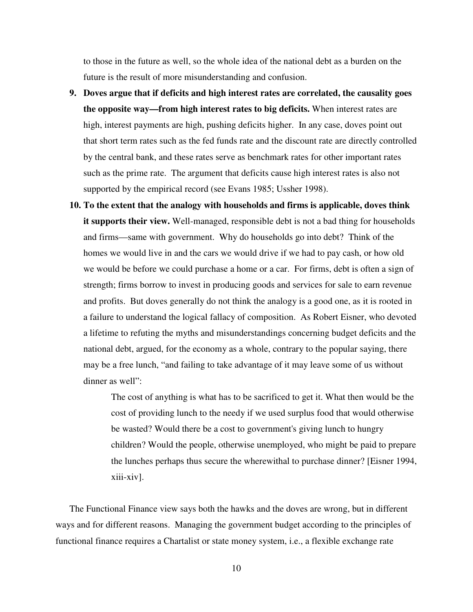to those in the future as well, so the whole idea of the national debt as a burden on the future is the result of more misunderstanding and confusion.

- **9. Doves argue that if deficits and high interest rates are correlated, the causality goes the opposite way—from high interest rates to big deficits.** When interest rates are high, interest payments are high, pushing deficits higher. In any case, doves point out that short term rates such as the fed funds rate and the discount rate are directly controlled by the central bank, and these rates serve as benchmark rates for other important rates such as the prime rate. The argument that deficits cause high interest rates is also not supported by the empirical record (see Evans 1985; Ussher 1998).
- **10. To the extent that the analogy with households and firms is applicable, doves think it supports their view.** Well-managed, responsible debt is not a bad thing for households and firms—same with government. Why do households go into debt? Think of the homes we would live in and the cars we would drive if we had to pay cash, or how old we would be before we could purchase a home or a car. For firms, debt is often a sign of strength; firms borrow to invest in producing goods and services for sale to earn revenue and profits. But doves generally do not think the analogy is a good one, as it is rooted in a failure to understand the logical fallacy of composition. As Robert Eisner, who devoted a lifetime to refuting the myths and misunderstandings concerning budget deficits and the national debt, argued, for the economy as a whole, contrary to the popular saying, there may be a free lunch, "and failing to take advantage of it may leave some of us without dinner as well":

The cost of anything is what has to be sacrificed to get it. What then would be the cost of providing lunch to the needy if we used surplus food that would otherwise be wasted? Would there be a cost to government's giving lunch to hungry children? Would the people, otherwise unemployed, who might be paid to prepare the lunches perhaps thus secure the wherewithal to purchase dinner? [Eisner 1994, xiii-xiv].

The Functional Finance view says both the hawks and the doves are wrong, but in different ways and for different reasons. Managing the government budget according to the principles of functional finance requires a Chartalist or state money system, i.e., a flexible exchange rate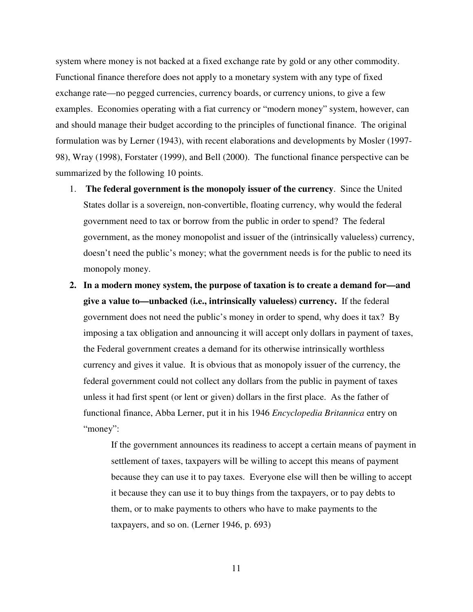system where money is not backed at a fixed exchange rate by gold or any other commodity. Functional finance therefore does not apply to a monetary system with any type of fixed exchange rate—no pegged currencies, currency boards, or currency unions, to give a few examples. Economies operating with a fiat currency or "modern money" system, however, can and should manage their budget according to the principles of functional finance. The original formulation was by Lerner (1943), with recent elaborations and developments by Mosler (1997- 98), Wray (1998), Forstater (1999), and Bell (2000). The functional finance perspective can be summarized by the following 10 points.

- 1. **The federal government is the monopoly issuer of the currency**. Since the United States dollar is a sovereign, non-convertible, floating currency, why would the federal government need to tax or borrow from the public in order to spend? The federal government, as the money monopolist and issuer of the (intrinsically valueless) currency, doesn't need the public's money; what the government needs is for the public to need its monopoly money.
- **2. In a modern money system, the purpose of taxation is to create a demand for—and give a value to—unbacked (i.e., intrinsically valueless) currency.** If the federal government does not need the public's money in order to spend, why does it tax? By imposing a tax obligation and announcing it will accept only dollars in payment of taxes, the Federal government creates a demand for its otherwise intrinsically worthless currency and gives it value. It is obvious that as monopoly issuer of the currency, the federal government could not collect any dollars from the public in payment of taxes unless it had first spent (or lent or given) dollars in the first place. As the father of functional finance, Abba Lerner, put it in his 1946 *Encyclopedia Britannica* entry on "money":

If the government announces its readiness to accept a certain means of payment in settlement of taxes, taxpayers will be willing to accept this means of payment because they can use it to pay taxes. Everyone else will then be willing to accept it because they can use it to buy things from the taxpayers, or to pay debts to them, or to make payments to others who have to make payments to the taxpayers, and so on. (Lerner 1946, p. 693)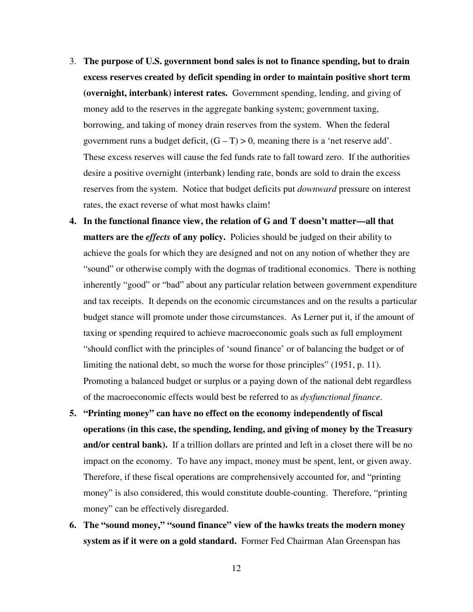- 3. **The purpose of U.S. government bond sales is not to finance spending, but to drain excess reserves created by deficit spending in order to maintain positive short term (overnight, interbank) interest rates.** Government spending, lending, and giving of money add to the reserves in the aggregate banking system; government taxing, borrowing, and taking of money drain reserves from the system. When the federal government runs a budget deficit,  $(G - T) > 0$ , meaning there is a 'net reserve add'. These excess reserves will cause the fed funds rate to fall toward zero. If the authorities desire a positive overnight (interbank) lending rate, bonds are sold to drain the excess reserves from the system. Notice that budget deficits put *downward* pressure on interest rates, the exact reverse of what most hawks claim!
- **4. In the functional finance view, the relation of G and T doesn't matter—all that matters are the** *effects* **of any policy.** Policies should be judged on their ability to achieve the goals for which they are designed and not on any notion of whether they are "sound" or otherwise comply with the dogmas of traditional economics. There is nothing inherently "good" or "bad" about any particular relation between government expenditure and tax receipts. It depends on the economic circumstances and on the results a particular budget stance will promote under those circumstances. As Lerner put it, if the amount of taxing or spending required to achieve macroeconomic goals such as full employment "should conflict with the principles of 'sound finance' or of balancing the budget or of limiting the national debt, so much the worse for those principles" (1951, p. 11). Promoting a balanced budget or surplus or a paying down of the national debt regardless of the macroeconomic effects would best be referred to as *dysfunctional finance*.
- **5. "Printing money" can have no effect on the economy independently of fiscal operations (in this case, the spending, lending, and giving of money by the Treasury and/or central bank).** If a trillion dollars are printed and left in a closet there will be no impact on the economy. To have any impact, money must be spent, lent, or given away. Therefore, if these fiscal operations are comprehensively accounted for, and "printing money" is also considered, this would constitute double-counting.Therefore, "printing money" can be effectively disregarded.
- **6. The "sound money," "sound finance" view of the hawks treats the modern money system as if it were on a gold standard.** Former Fed Chairman Alan Greenspan has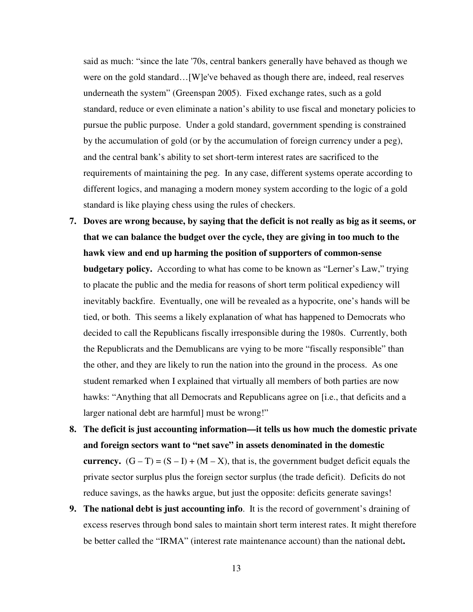said as much: "since the late '70s, central bankers generally have behaved as though we were on the gold standard…[W]e've behaved as though there are, indeed, real reserves underneath the system" (Greenspan 2005). Fixed exchange rates, such as a gold standard, reduce or even eliminate a nation's ability to use fiscal and monetary policies to pursue the public purpose. Under a gold standard, government spending is constrained by the accumulation of gold (or by the accumulation of foreign currency under a peg), and the central bank's ability to set short-term interest rates are sacrificed to the requirements of maintaining the peg. In any case, different systems operate according to different logics, and managing a modern money system according to the logic of a gold standard is like playing chess using the rules of checkers.

- **7. Doves are wrong because, by saying that the deficit is not really as big as it seems, or that we can balance the budget over the cycle, they are giving in too much to the hawk view and end up harming the position of supporters of common-sense budgetary policy.** According to what has come to be known as "Lerner's Law," trying to placate the public and the media for reasons of short term political expediency will inevitably backfire. Eventually, one will be revealed as a hypocrite, one's hands will be tied, or both. This seems a likely explanation of what has happened to Democrats who decided to call the Republicans fiscally irresponsible during the 1980s. Currently, both the Republicrats and the Demublicans are vying to be more "fiscally responsible" than the other, and they are likely to run the nation into the ground in the process. As one student remarked when I explained that virtually all members of both parties are now hawks: "Anything that all Democrats and Republicans agree on [i.e., that deficits and a larger national debt are harmful] must be wrong!"
- **8. The deficit is just accounting information—it tells us how much the domestic private and foreign sectors want to "net save" in assets denominated in the domestic currency.**  $(G - T) = (S - I) + (M - X)$ , that is, the government budget deficit equals the private sector surplus plus the foreign sector surplus (the trade deficit). Deficits do not reduce savings, as the hawks argue, but just the opposite: deficits generate savings!
- **9. The national debt is just accounting info**. It is the record of government's draining of excess reserves through bond sales to maintain short term interest rates. It might therefore be better called the "IRMA" (interest rate maintenance account) than the national debt**.**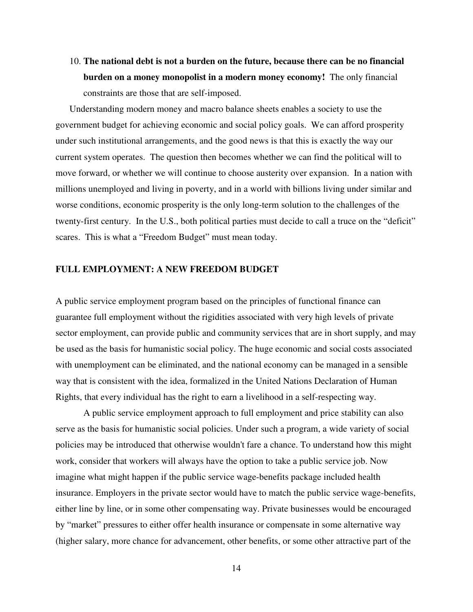10. **The national debt is not a burden on the future, because there can be no financial burden on a money monopolist in a modern money economy!** The only financial constraints are those that are self-imposed.

Understanding modern money and macro balance sheets enables a society to use the government budget for achieving economic and social policy goals. We can afford prosperity under such institutional arrangements, and the good news is that this is exactly the way our current system operates. The question then becomes whether we can find the political will to move forward, or whether we will continue to choose austerity over expansion. In a nation with millions unemployed and living in poverty, and in a world with billions living under similar and worse conditions, economic prosperity is the only long-term solution to the challenges of the twenty-first century. In the U.S., both political parties must decide to call a truce on the "deficit" scares. This is what a "Freedom Budget" must mean today.

## **FULL EMPLOYMENT: A NEW FREEDOM BUDGET**

A public service employment program based on the principles of functional finance can guarantee full employment without the rigidities associated with very high levels of private sector employment, can provide public and community services that are in short supply, and may be used as the basis for humanistic social policy. The huge economic and social costs associated with unemployment can be eliminated, and the national economy can be managed in a sensible way that is consistent with the idea, formalized in the United Nations Declaration of Human Rights, that every individual has the right to earn a livelihood in a self-respecting way.

A public service employment approach to full employment and price stability can also serve as the basis for humanistic social policies. Under such a program, a wide variety of social policies may be introduced that otherwise wouldn't fare a chance. To understand how this might work, consider that workers will always have the option to take a public service job. Now imagine what might happen if the public service wage-benefits package included health insurance. Employers in the private sector would have to match the public service wage-benefits, either line by line, or in some other compensating way. Private businesses would be encouraged by "market" pressures to either offer health insurance or compensate in some alternative way (higher salary, more chance for advancement, other benefits, or some other attractive part of the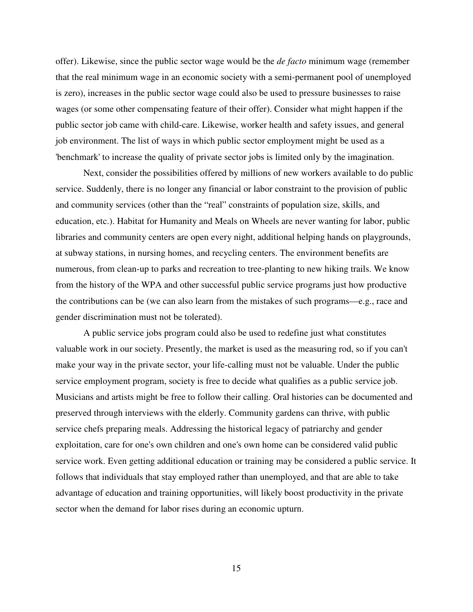offer). Likewise, since the public sector wage would be the *de facto* minimum wage (remember that the real minimum wage in an economic society with a semi-permanent pool of unemployed is zero), increases in the public sector wage could also be used to pressure businesses to raise wages (or some other compensating feature of their offer). Consider what might happen if the public sector job came with child-care. Likewise, worker health and safety issues, and general job environment. The list of ways in which public sector employment might be used as a 'benchmark' to increase the quality of private sector jobs is limited only by the imagination.

Next, consider the possibilities offered by millions of new workers available to do public service. Suddenly, there is no longer any financial or labor constraint to the provision of public and community services (other than the "real" constraints of population size, skills, and education, etc.). Habitat for Humanity and Meals on Wheels are never wanting for labor, public libraries and community centers are open every night, additional helping hands on playgrounds, at subway stations, in nursing homes, and recycling centers. The environment benefits are numerous, from clean-up to parks and recreation to tree-planting to new hiking trails. We know from the history of the WPA and other successful public service programs just how productive the contributions can be (we can also learn from the mistakes of such programs—e.g., race and gender discrimination must not be tolerated).

A public service jobs program could also be used to redefine just what constitutes valuable work in our society. Presently, the market is used as the measuring rod, so if you can't make your way in the private sector, your life-calling must not be valuable. Under the public service employment program, society is free to decide what qualifies as a public service job. Musicians and artists might be free to follow their calling. Oral histories can be documented and preserved through interviews with the elderly. Community gardens can thrive, with public service chefs preparing meals. Addressing the historical legacy of patriarchy and gender exploitation, care for one's own children and one's own home can be considered valid public service work. Even getting additional education or training may be considered a public service. It follows that individuals that stay employed rather than unemployed, and that are able to take advantage of education and training opportunities, will likely boost productivity in the private sector when the demand for labor rises during an economic upturn.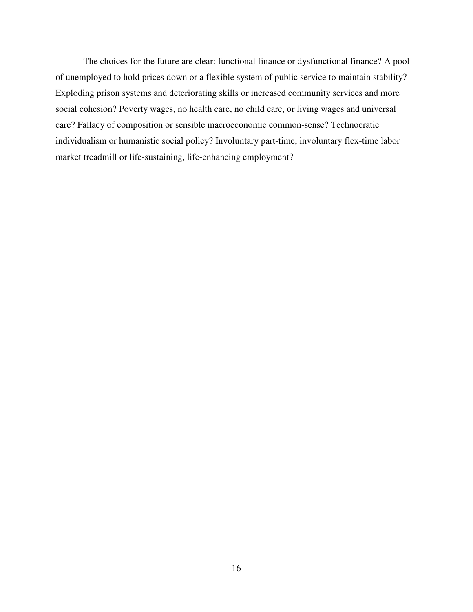The choices for the future are clear: functional finance or dysfunctional finance? A pool of unemployed to hold prices down or a flexible system of public service to maintain stability? Exploding prison systems and deteriorating skills or increased community services and more social cohesion? Poverty wages, no health care, no child care, or living wages and universal care? Fallacy of composition or sensible macroeconomic common-sense? Technocratic individualism or humanistic social policy? Involuntary part-time, involuntary flex-time labor market treadmill or life-sustaining, life-enhancing employment?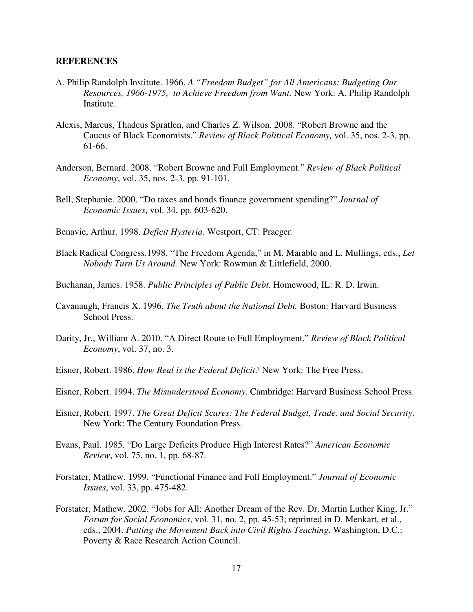#### **REFERENCES**

- A. Philip Randolph Institute. 1966. *A "Freedom Budget" for All Americans: Budgeting Our Resources, 1966-1975, to Achieve Freedom from Want.* New York: A. Philip Randolph Institute.
- Alexis, Marcus, Thadeus Spratlen, and Charles Z. Wilson. 2008. "Robert Browne and the Caucus of Black Economists." *Review of Black Political Economy,* vol. 35, nos. 2-3, pp. 61-66.
- Anderson, Bernard. 2008. "Robert Browne and Full Employment." *Review of Black Political Economy*, vol. 35, nos. 2-3, pp. 91-101.
- Bell, Stephanie. 2000. "Do taxes and bonds finance government spending?" *Journal of Economic Issues*, vol. 34, pp. 603-620.
- Benavie, Arthur. 1998. *Deficit Hysteria.* Westport, CT: Praeger.
- Black Radical Congress.1998. "The Freedom Agenda," in M. Marable and L. Mullings, eds., *Let Nobody Turn Us Around.* New York: Rowman & Littlefield, 2000.
- Buchanan, James. 1958. *Public Principles of Public Debt.* Homewood, IL: R. D. Irwin.
- Cavanaugh, Francis X. 1996. *The Truth about the National Debt.* Boston: Harvard Business School Press.
- Darity, Jr., William A. 2010. "A Direct Route to Full Employment." *Review of Black Political Economy*, vol. 37, no. 3.
- Eisner, Robert. 1986. *How Real is the Federal Deficit?* New York: The Free Press.
- Eisner, Robert. 1994. *The Misunderstood Economy.* Cambridge: Harvard Business School Press.
- Eisner, Robert. 1997. *The Great Deficit Scares: The Federal Budget, Trade, and Social Security*. New York: The Century Foundation Press.
- Evans, Paul. 1985. "Do Large Deficits Produce High Interest Rates?" *American Economic Review*, vol. 75, no. 1, pp. 68-87.
- Forstater, Mathew. 1999. "Functional Finance and Full Employment." *Journal of Economic Issues*, vol. 33, pp. 475-482.
- Forstater, Mathew. 2002. "Jobs for All: Another Dream of the Rev. Dr. Martin Luther King, Jr." *Forum for Social Economics*, vol. 31, no. 2, pp. 45-53; reprinted in D. Menkart, et al., eds., 2004. *Putting the Movement Back into Civil Rights Teaching*. Washington, D.C.: Poverty & Race Research Action Council.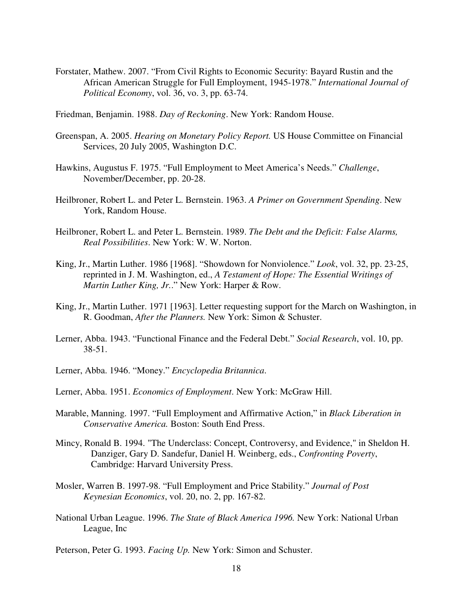Forstater, Mathew. 2007. "From Civil Rights to Economic Security: Bayard Rustin and the African American Struggle for Full Employment, 1945-1978." *International Journal of Political Economy*, vol. 36, vo. 3, pp. 63-74.

Friedman, Benjamin. 1988. *Day of Reckoning*. New York: Random House.

- Greenspan, A. 2005. *Hearing on Monetary Policy Report.* US House Committee on Financial Services, 20 July 2005, Washington D.C.
- Hawkins, Augustus F. 1975. "Full Employment to Meet America's Needs." *Challenge*, November/December, pp. 20-28.
- Heilbroner, Robert L. and Peter L. Bernstein. 1963. *A Primer on Government Spending*. New York, Random House.
- Heilbroner, Robert L. and Peter L. Bernstein. 1989. *The Debt and the Deficit: False Alarms, Real Possibilities*. New York: W. W. Norton.
- King, Jr., Martin Luther. 1986 [1968]. "Showdown for Nonviolence." *Look*, vol. 32, pp. 23-25, reprinted in J. M. Washington, ed., *A Testament of Hope: The Essential Writings of Martin Luther King, Jr.*." New York: Harper & Row.
- King, Jr., Martin Luther. 1971 [1963]. Letter requesting support for the March on Washington, in R. Goodman, *After the Planners.* New York: Simon & Schuster.
- Lerner, Abba. 1943. "Functional Finance and the Federal Debt." *Social Research*, vol. 10, pp. 38-51.
- Lerner, Abba. 1946. "Money." *Encyclopedia Britannica*.
- Lerner, Abba. 1951. *Economics of Employment*. New York: McGraw Hill.
- Marable, Manning. 1997. "Full Employment and Affirmative Action," in *Black Liberation in Conservative America.* Boston: South End Press.
- Mincy, Ronald B. 1994. "The Underclass: Concept, Controversy, and Evidence," in Sheldon H. Danziger, Gary D. Sandefur, Daniel H. Weinberg, eds., *Confronting Poverty*, Cambridge: Harvard University Press.
- Mosler, Warren B. 1997-98. "Full Employment and Price Stability." *Journal of Post Keynesian Economics*, vol. 20, no. 2, pp. 167-82.
- National Urban League. 1996. *The State of Black America 1996.* New York: National Urban League, Inc
- Peterson, Peter G. 1993. *Facing Up.* New York: Simon and Schuster.